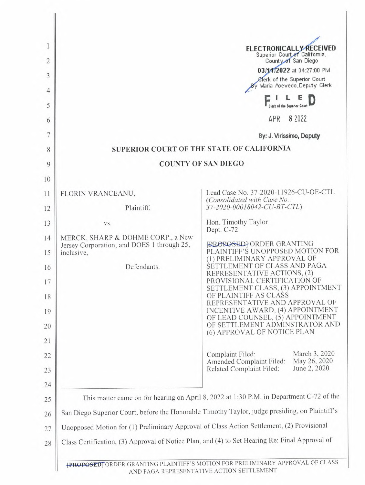|                                                                                                | <b>ELECTRONICALLY RECEIVED</b>                                                                                                        |
|------------------------------------------------------------------------------------------------|---------------------------------------------------------------------------------------------------------------------------------------|
|                                                                                                | Superior Court of California,<br>County of San Diego                                                                                  |
|                                                                                                | 03/1412022 at 04:27:00 PM<br>Clerk of the Superior Court                                                                              |
|                                                                                                | By Maria Acevedo, Deputy Clerk                                                                                                        |
|                                                                                                |                                                                                                                                       |
|                                                                                                | 8 2022<br>APR                                                                                                                         |
|                                                                                                | By: J. Virissimo, Deputy                                                                                                              |
|                                                                                                | SUPERIOR COURT OF THE STATE OF CALIFORNIA                                                                                             |
|                                                                                                | <b>COUNTY OF SAN DIEGO</b>                                                                                                            |
|                                                                                                |                                                                                                                                       |
| FLORIN VRANCEANU,                                                                              | Lead Case No. 37-2020-11926-CU-OE-CTL<br>(Consolidated with Case No.:                                                                 |
| Plaintiff,                                                                                     | 37-2020-00018042-CU-BT-CTL)                                                                                                           |
| VS.                                                                                            | Hon. Timothy Taylor<br>Dept. C-72                                                                                                     |
| MERCK, SHARP & DOHME CORP., a New<br>Jersey Corporation; and DOES 1 through 25,<br>inclusive,  | <b>RROROSED</b> ORDER GRANTING<br>PLAINTIFF'S UNOPPOSED MOTION FOR<br>(1) PRELIMINARY APPROVAL OF                                     |
| Defendants.                                                                                    | SETTLEMENT OF CLASS AND PAGA<br>REPRESENTATIVE ACTIONS, (2)                                                                           |
|                                                                                                | PROVISIONAL CERTIFICATION OF<br>SETTLEMENT CLASS, (3) APPOINTMENT                                                                     |
|                                                                                                | OF PLAINTIFF AS CLASS<br>REPRESENTATIVE AND APPROVAL OF                                                                               |
|                                                                                                | INCENTIVE AWARD, (4) APPOINTMENT<br>OF LEAD COUNSEL, (5) APPOINTMENT<br>OF SETTLEMENT ADMINSTRATOR AND<br>(6) APPROVAL OF NOTICE PLAN |
|                                                                                                | March 3, 2020<br>Complaint Filed:<br>May 26, 2020<br>Amended Complaint Filed:<br>June 2, 2020<br>Related Complaint Filed:             |
|                                                                                                | This matter came on for hearing on April 8, 2022 at 1:30 P.M. in Department C-72 of the                                               |
|                                                                                                | San Diego Superior Court, before the Honorable Timothy Taylor, judge presiding, on Plaintiff's                                        |
| Unopposed Motion for (1) Preliminary Approval of Class Action Settlement, (2) Provisional      |                                                                                                                                       |
| Class Certification, (3) Approval of Notice Plan, and (4) to Set Hearing Re: Final Approval of |                                                                                                                                       |

AND PAGA REPRESENTATIVE ACTION SETTLEMENT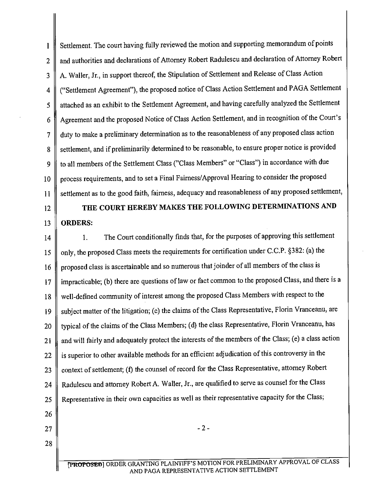1 2 3 4 5 6 7 8 9 10 11 Settlement. The court having fully reviewed the motion and supporting memorandum of points and authorities and declarations of Attorney Robert Radulescu and declaration of Attorney Robert A. Waller, Jr., in support thereof, the Stipulation of Settlement and Release of Class Action ("Settlement Agreement"), the proposed notice of Class Action Settlement and PAGA Settlement attached as an exhibit to the Settlement Agreement, and having carefully analyzed the Settlement Agreement and the proposed Notice of Class Action Settlement, and in recognition of the Court's duty to make a preliminary determination as to the reasonableness of any proposed class action settlement, and if preliminarily determined to be reasonable, to ensure proper notice is provided to all members of the Settlement Class ("Class Members" or "Class") in accordance with due process requirements, and to set a Final Fairness/Approval Hearing to consider the proposed settlement as to the good faith, fairness, adequacy and reasonableness of any proposed settlement,

## 12

13

## **THE COURT HEREBY MAKES THE FOLLOWING DETERMINATIONS AND ORDERS:**

14 15 16 17 18 19 20 21 22 23 24 25 **1.** The Court conditionally finds that, for the purposes of approving this settlement only, the proposed Class meets the requirements for certification under C.C.P. §382: (a) the proposed class is ascertainable and so numerous that joinder of all members of the class is impracticable; (b) there are questions of law or fact common to the proposed Class, and there is a well-defined community of interest among the proposed Class Members with respect to the subject matter of the litigation; (c) the claims of the Class Representative, Florin Vranceanu, are typical of the claims of the Class Members; (d) the class Representative, Florin Vranceanu, has and will fairly and adequately protect the interests of the members of the Class; (e) a class action is superior to other available methods for an efficient adjudication of this controversy in the context of settlement; (f) the counsel of record for the Class Representative, attorney Robert Radulescu and attorney Robert A. Waller, Jr., are qualified to serve as counsel for the Class Representative in their own capacities as well as their representative capacity for the Class;

- 26
- 27

28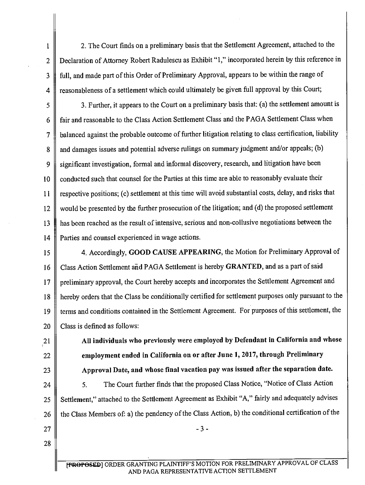2. The Court finds on a preliminary basis that the Settlement Agreement, attached to the Declaration of Attorney Robert Radulescu as Exhibit "1," incorporated herein by this reference in full, and made part of this Order of Preliminary Approval, appears to be within the range of reasonableness of a settlement which could ultimately be given full approval by this Court;

3. Further, it appears to the Court on a preliminary basis that: (a) the settlement amount is fair and reasonable to the Class Action Settlement Class and the PAGA Settlement Class when balanced against the probable outcome of further litigation relating to class certification, liability and damages issues and potential adverse rulings on summary judgment and/or appeals; (b) significant investigation, formal and informal discovery, research, and litigation have been conducted such that counsel for the Parties at this time are able to reasonably evaluate their respective positions; (c) settlement at this time will avoid substantial costs, delay, and risks that would be presented by the further prosecution of the litigation; and (d) the proposed settlement has been reached as the result of intensive, serious and non-collusive negotiations between the Parties and counsel experienced in wage actions. 5 6 7 8 9 10 11 12 13 14

- 4. Accordingly, **GOOD CAUSE APPEARING,** the Motion for Preliminary Approval of Class Action Settlement and PAGA Settlement is hereby **GRANTED,** and as a part of said preliminary approval, the Court hereby accepts and incorporates the Settlement Agreement and hereby orders that the Class be conditionally certified for settlement purposes only pursuant to the terms and conditions contained in the Settlement Agreement. For purposes of this settlement, the Class is defined as follows: 15 16 17 18 19 20
	- **All individuals who previously were employed by Defendant in California and whose employment ended in California on or after June 1, 2017, through Preliminary Approval Date, and whose final vacation pay was issued after the separation date.**

5. The Court further finds that the proposed Class Notice, "Notice of Class Action Settlement," attached to the Settlement Agreement as Exhibit "A," fairly and adequately advises the Class Members of: a) the pendency of the Class Action, b) the conditional certification of the

27 28

21

22

23

24

25

26

1

2

3

4

- 3 -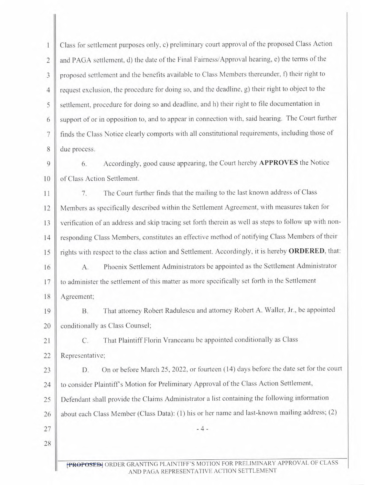Class for settlement purposes only, c) preliminary court approval of the proposed Class Action  $\mathbf{1}$ and PAGA settlement, d) the date of the Final Fairness/Approval hearing, e) the terms of the  $\overline{2}$ proposed settlement and the benefits available to Class Members thereunder, f) their right to 3 request exclusion, the procedure for doing so, and the deadline, g) their right to object to the  $\overline{4}$ settlement, procedure for doing so and deadline, and h) their right to file documentation in 5 support of or in opposition to, and to appear in connection with, said hearing. The Court further 6 finds the Class Notice clearly comports with all constitutional requirements, including those of 7 due process. 8

6. Accordingly, good cause appearing, the Court hereby **APPROVES** the Notice  $\mathbf Q$ of Class Action Settlement. 10

7. The Court further finds that the mailing to the last known address of Class 11 Members as specifically described within the Settlement Agreement, with measures taken for 12  $13$ verification of an address and skip tracing set forth therein as well as steps to follow up with nonresponding Class Members, constitutes an effective method of notifying Class Members of their  $14$ rights with respect to the class action and Settlement. Accordingly, it is hereby **ORDERED,** that: 15

A. Phoenix Settlement Administrators be appointed as the Settlement Administrator 16 to administer the settlement of this matter as more specifically set forth in the Settlement 17 Agreement; 18

B. That attorney Robert Radulescu and attorney Robert A. Waller, Jr., be appointed 19 conditionally as Class Counsel; 20

C. That Plaintiff Florin Vranceanu be appointed conditionally as Class

22 Representative;

 $21$ 

27

28

D. On or before March 25, 2022, or fourteen (14) days before the date set for the court 23 to consider Plaintiff's Motion for Preliminary Approval of the Class Action Settlement,  $24$ Defendant shall provide the Claims Administrator a list containing the following information 25 about each Class Member (Class Data): (1) his or her name and last-known mailing address; (2) 26

- 4 -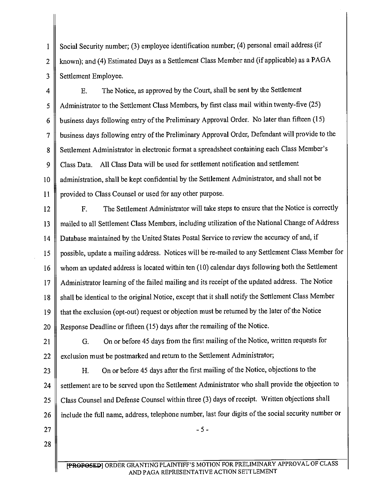1 | Social Security number; (3) employee identification number; (4) personal email address (if known); and (4) Estimated Days as a Settlement Class Member and (if applicable) as a PAGA  $\overline{2}$ Settlement Employee. 3

E. The Notice, as approved by the Court, shall be sent by the Settlement  $\overline{4}$ Administrator to the Settlement Class Members, by first class mail within twenty-five (25) 5 business days following entry of the Preliminary Approval Order. No later than fifteen (15)  $6 \overline{6}$ business days following entry of the Preliminary Approval Order, Defendant will provide to the  $\overline{7}$ Settlement Administrator in electronic format a spreadsheet containing each Class Member's 8 Class Data. All Class Data will be used for settlement notification and settlement 9 administration, shall be kept confidential by the Settlement Administrator, and shall not be 10 provided to Class Counsel or used for any other purpose.  $11$ 

F. The Settlement Administrator will take steps to ensure that the Notice is correctly  $12$ mailed to all Settlement Class Members, including utilization of the National Change of Address  $13$ Database maintained by the United States Postal Service to review the accuracy of and, if 14 possible, update a mailing address. Notices will be re-mailed to any Settlement Class Member for 15 whom an updated address is located within ten (10) calendar days following both the Settlement 16 Administrator learning of the failed mailing and its receipt of the updated address. The Notice  $17$ shall be identical to the original Notice, except that it shall notify the Settlement Class Member 18 that the exclusion (opt-out) request or objection must be returned by the later of the Notice 19 Response Deadline or fifteen (15) days after the remailing of the Notice. 20

G. On or before 45 days from the first mailing of the Notice, written requests for 21 exclusion must be postmarked and return to the Settlement Administrator;  $22$ 

H. On or before 45 days after the first mailing of the Notice, objections to the 23 settlement are to be served upon the Settlement Administrator who shall provide the objection to 24 Class Counsel and Defense Counsel within three (3) days of receipt. Written objections shall 25 include the full name, address, telephone number, last four digits of the social security number or 26

27

- 5 -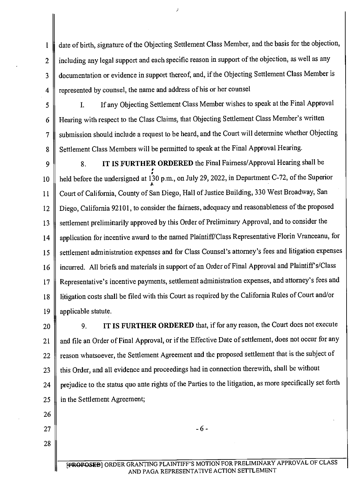date of birth, signature of the Objecting Settlement Class Member, and the basis for the objection,  $\mathbf{l}$ including any legal support and each specific reason in support of the objection, as well as any  $\overline{2}$ documentation or evidence in support thereof, and, if the Objecting Settlement Class Member is 3 represented by counsel, the name and address of his or her counsel  $\overline{4}$ 

I. If any Objecting Settlement Class Member wishes to speak at the Final Approval 5 Hearing with respect to the Class Claims, that Objecting Settlement Class Member's written 6 submission should include a request to be heard, and the Court will determine whether Objecting 7 Settlement Class Members will be permitted to speak at the Final Approval Hearing. 8

**8. IT IS FURTHER ORDERED** the Final Fairness/Approval Hearing shall be  $\mathbf Q$ held before the undersigned at 130 p.m., on July 29, 2022, in Department C-72, of the Superior 10 Court of California, County of San Diego, Hall of Justice Building, 330 West Broadway, San 11 Diego, California 92101, to consider the fairness, adequacy and reasonableness of the proposed 12 settlement preliminarily approved by this Order of Preliminary Approval, and to consider the 13 application for incentive award to the named Plaintiff/Class Representative Florin Vranceanu, for 14 settlement administration expenses and for Class Counsel's attorney's fees and litigation expenses 15 incurred. All briefs and materials in support of an Order of Final Approval and Plaintiff s/Class 16 Representative's incentive payments, settlement administration expenses, and attorney's fees and 17 litigation costs shall be filed with this Court as required by the California Rules of Court and/or 18 applicable statute. 19

**9. IT IS FURTHER ORDERED** that, if for any reason, the Court does not execute 20 and file an Order of Final Approval, or if the Effective Date of settlement, does not occur for any 21 reason whatsoever, the Settlement Agreement and the proposed settlement that is the subject of 22 this Order, and all evidence and proceedings had in connection therewith, shall be without 23 prejudice to the status quo ante rights of the Parties to the litigation, as more specifically set forth 24 25 in the Settlement Agreement;

26

27

28

- 6 -